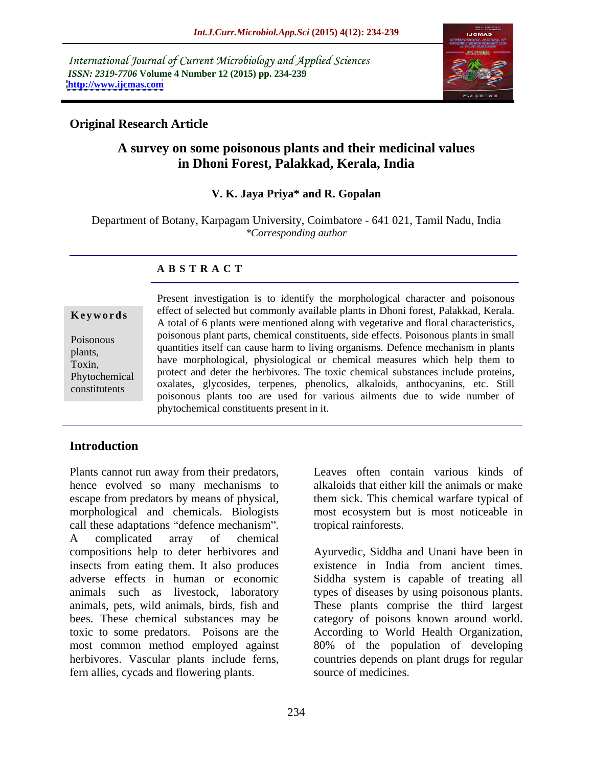International Journal of Current Microbiology and Applied Sciences *ISSN: 2319-7706* **Volume 4 Number 12 (2015) pp. 234-239 <http://www.ijcmas.com>**



## **Original Research Article**

# **A survey on some poisonous plants and their medicinal values in Dhoni Forest, Palakkad, Kerala, India**

### **V. K. Jaya Priya\* and R. Gopalan**

Department of Botany, Karpagam University, Coimbatore - 641 021, Tamil Nadu, India *\*Corresponding author*

### **A B S T R A C T**

constitutents

Present investigation is to identify the morphological character and poisonous effect of selected but commonly available plants in Dhoni forest, Palakkad, Kerala. A total of 6 plants were mentioned along with vegetative and floral characteristics, **Ke ywo rds** poisonous plant parts, chemical constituents, side effects. Poisonous plants in small Poisonous quantities itself can cause harm to living organisms. Defence mechanism in plants plants,<br>
have morphological, physiological or chemical measures which help them to<br>
plants, have morphological, physiological or chemical measures which help them to proxim,<br>protect and deter the herbivores. The toxic chemical substances include proteins, oxalates, glycosides, terpenes, phenolics, alkaloids, anthocyanins, etc. Still poisonous plants too are used for various ailments due to wide number of phytochemical constituents present in it. Phytochemical protect and determine nerotivores. The toxic chemical substances include proteins,

# **Introduction**

Plants cannot run away from their predators, hence evolved so many mechanisms to alkaloids that either kill the animals or make escape from predators by means of physical, them sick. This chemical warfare typical of morphological and chemicals. Biologists most ecosystem but is most noticeable in call these adaptations "defence mechanism". A complicated array of chemical compositions help to deter herbivores and insects from eating them. It also produces adverse effects in human or economic Siddha system is capable of treating all animals such as livestock, laboratory types of diseases by using poisonous plants. animals, pets, wild animals, birds, fish and These plants comprise the third largest bees. These chemical substances may be category of poisons known around world. toxic to some predators. Poisons are the According to World Health Organization, most common method employed against 80% of the population of developing herbivores. Vascular plants include ferns, countries depends on plant drugs for regular fern allies, cycads and flowering plants.

Leaves often contain various kinds of tropical rainforests.

Ayurvedic, Siddha and Unani have been in existence in India from ancient times. source of medicines.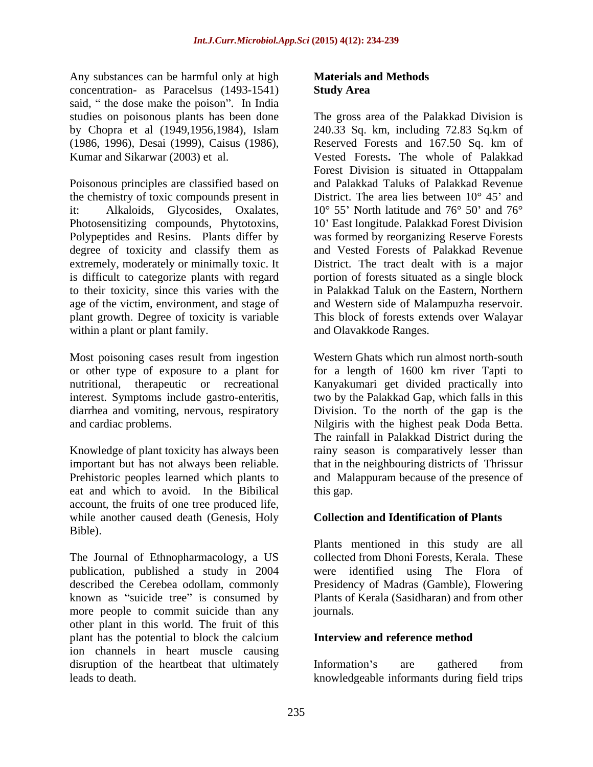Any substances can be harmful only at high **Materials and Methods** concentration- as Paracelsus (1493-1541) said, " the dose make the poison". In India

Poisonous principles are classified based on the chemistry of toxic compounds present in it: Alkaloids, Glycosides, Oxalates, 10° 55 North latitude and 76° 50 and 76° Photosensitizing compounds, Phytotoxins, 10 East longitude. Palakkad Forest Division Polypeptides and Resins. Plants differ by was formed by reorganizing Reserve Forests degree of toxicity and classify them as extremely, moderately or minimally toxic. It is difficult to categorize plants with regard portion of forests situated as a single block to their toxicity, since this varies with the age of the victim, environment, and stage of plant growth. Degree of toxicity is variable This block of forests extends over Walayar within a plant or plant family.

Most poisoning cases result from ingestion diarrhea and vomiting, nervous, respiratory

Knowledge of plant toxicity has always been eat and which to avoid. In the Bibilical account, the fruits of one tree produced life, while another caused death (Genesis, Holy Bible).

The Journal of Ethnopharmacology, a US publication, published a study in 2004 known as "suicide tree" is consumed by more people to commit suicide than any journals. other plant in this world. The fruit of this plant has the potential to block the calcium<br>Interview and reference method ion channels in heart muscle causing disruption of the heartbeat that ultimately list information's are gathered from

### **Materials and Methods Study Area**

studies on poisonous plants has been done The gross area of the Palakkad Division is by Chopra et al (1949,1956,1984), Islam 240.33 Sq. km, including 72.83 Sq.km of (1986, 1996), Desai (1999), Caisus (1986), Reserved Forests and 167.50 Sq. km of Kumar and Sikarwar (2003) et al. Vested Forests**.** The whole of Palakkad Forest Division is situated in Ottappalam and Palakkad Taluks of Palakkad Revenue District. The area lies between  $10^{\circ}$  45' and and Vested Forests of Palakkad Revenue District. The tract dealt with is a major in Palakkad Taluk on the Eastern, Northern and Western side of Malampuzha reservoir. and Olavakkode Ranges.

or other type of exposure to a plant for for a length of 1600 km river Tapti to nutritional, therapeutic or recreational Kanyakumari get divided practically into interest. Symptoms include gastro-enteritis, two by the Palakkad Gap, which falls in this and cardiac problems. Nilgiris with the highest peak Doda Betta. important but has not always been reliable. that in the neighbouring districts of Thrissur Prehistoric peoples learned which plants to and Malappuram because of the presence of Western Ghats which run almost north-south Division. To the north of the gap is the The rainfall in Palakkad District during the rainy season is comparatively lesser than this gap.

### **Collection and Identification of Plants**

described the Cerebea odollam, commonly Presidency of Madras (Gamble), Flowering Plants mentioned in this study are all collected from Dhoni Forests, Kerala. These were identified using The Flora of Plants of Kerala (Sasidharan) and from other journals.

### **Interview and reference method**

leads to death. knowledgeable informants during field tripsInformation's are gathered from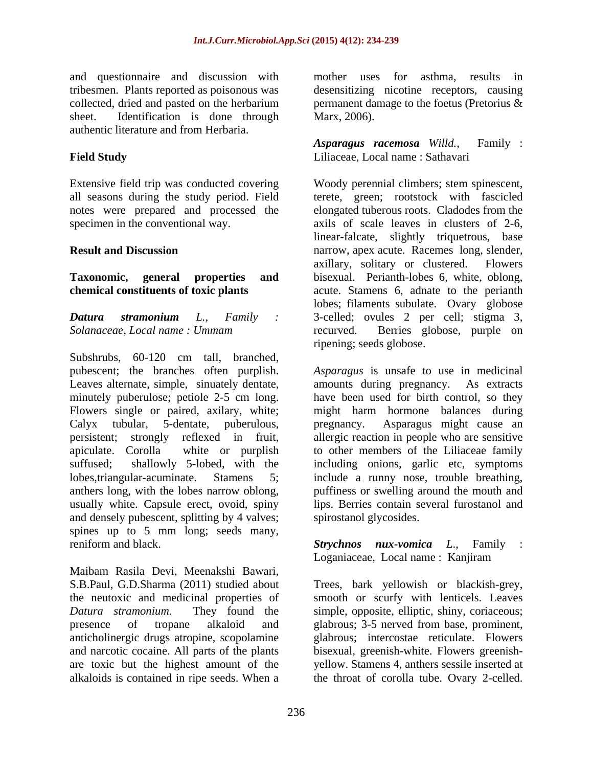and questionnaire and discussion with tribesmen. Plants reported as poisonous was desensitizing nicotine receptors, causing collected, dried and pasted on the herbarium permanent damage to the foetus (Pretorius & sheet. Identification is done through Marx, 2006). authentic literature and from Herbaria.

Extensive field trip was conducted covering all seasons during the study period. Field notes were prepared and processed the

Subshrubs, 60-120 cm tall, branched, Leaves alternate, simple, sinuately dentate, amounts during pregnancy. As extracts minutely puberulose; petiole 2-5 cm long. Calyx tubular, 5-dentate, puberulous, persistent; strongly reflexed in fruit, usually white. Capsule erect, ovoid, spiny and densely pubescent, splitting by 4 valves; spines up to 5 mm long; seeds many, reniform and black. *Strychnos nux-vomica L*., Family :

Maibam Rasila Devi, Meenakshi Bawari, S.B.Paul, G.D.Sharma (2011) studied about Trees, bark yellowish or blackish-grey, the neutoxic and medicinal properties of smooth or scurfy with lenticels. Leaves *Datura stramonium*. They found the simple, opposite, elliptic, shiny, coriaceous; presence of tropane alkaloid and glabrous; 3-5 nerved from base, prominent, anticholinergic drugs atropine, scopolamine and narcotic cocaine. All parts of the plants bisexual, greenish-white. Flowers greenish are toxic but the highest amount of the yellow. Stamens 4, anthers sessile inserted at

mother uses for asthma, results in Marx, 2006).

**Field Study** Liliaceae, Local name : Sathavari *Asparagus racemosa Willd.,* Family :

specimen in the conventional way. axils of scale leaves in clusters of 2-6, **Result and Discussion** narrow, apex acute. Racemes long, slender, **Taxonomic, general properties and** bisexual. Perianth-lobes 6, white, oblong, **chemical constituents of toxic plants** acute. Stamens 6, adnate to the perianth *Datura stramonium L., Family : Solanaceae, Local name : Ummam* Woody perennial climbers; stem spinescent, terete, green; rootstock with fascicled elongated tuberous roots. Cladodes from the linear-falcate, slightly triquetrous, base axillary, solitary or clustered. Flowers lobes; filaments subulate. Ovary globose 3-celled; ovules <sup>2</sup> per cell; stigma 3, recurved. Berries globose, purple on ripening; seeds globose.

pubescent; the branches often purplish. *Asparagus* is unsafe to use in medicinal Flowers single or paired, axilary, white; might harm hormone balances during apiculate. Corolla white or purplish to other members of the Liliaceae family suffused; shallowly 5-lobed, with the including onions, garlic etc, symptoms lobes,triangular-acuminate. Stamens 5; include a runny nose, trouble breathing, anthers long, with the lobes narrow oblong, puffiness or swelling around the mouth and amounts during pregnancy. have been used for birth control, so they Asparagus might cause an allergic reaction in people who are sensitive lips. Berries contain several furostanol and spirostanol glycosides.

Loganiaceae, Local name : Kanjiram

alkaloids is contained in ripe seeds. When a the throat of corolla tube. Ovary 2-celled. glabrous; intercostae reticulate. Flowers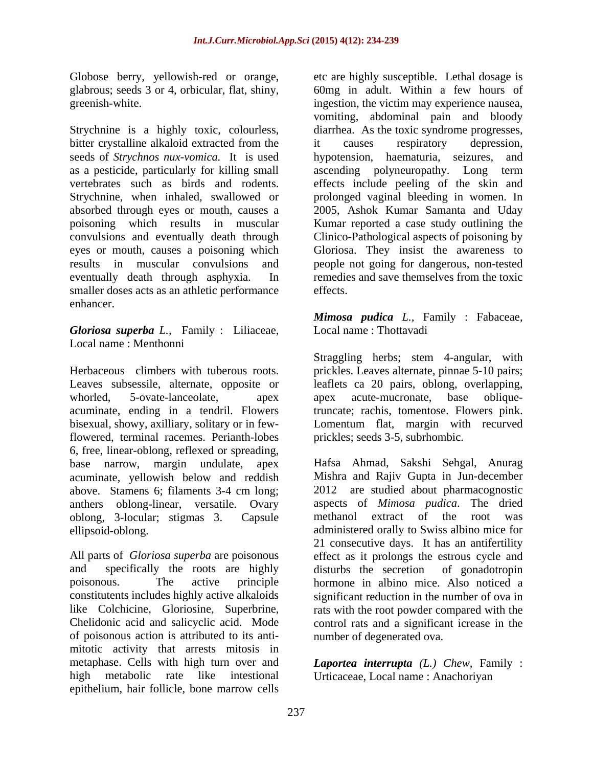Globose berry, yellowish-red or orange, glabrous; seeds 3 or 4, orbicular, flat, shiny,

Strychnine is a highly toxic, colourless, bitter crystalline alkaloid extracted from the  $\qquad$  it causes respiratory depression, seeds of *Strychnos nux-vomica*. It is used bypotension, haematuria, seizures, and smaller doses acts as an athletic performance effects. enhancer.

*Gloriosa superba L.,* Family : Liliaceae, Local name : Menthonni

Herbaceous climbers with tuberous roots. prickles. Leaves alternate, pinnae 5-10 pairs; Leaves subsessile, alternate, opposite or leaflets ca 20 pairs, oblong, overlapping, whorled, 5-ovate-lanceolate, apex apex acute-mucronate, base obliqueacuminate, ending in a tendril. Flowers truncate; rachis, tomentose. Flowers pink. bisexual, showy, axilliary, solitary or in fewflowered, terminal racemes. Perianth-lobes 6, free, linear-oblong, reflexed or spreading, base narrow, margin undulate, apex acuminate, yellowish below and reddish<br>above. Stamens 6: filaments 3-4 cm long: anthers oblong-linear, versatile. Ovary oblong, 3-locular; stigmas 3. Capsule

and specifically the roots are highly disturbs the secretion of gonadotropin of poisonous action is attributed to its anti mitotic activity that arrests mitosis in metaphase. Cells with high turn over and *Laportea interrupta (L.) Chew,* Family : high metabolic rate like intestional Urticaceae, Local name : Anachoriyanepithelium, hair follicle, bone marrow cells

greenish-white. ingestion, the victim may experience nausea, as a pesticide, particularly for killing small ascending polyneuropathy. Long term vertebrates such as birds and rodents. effects include peeling of the skin and Strychnine, when inhaled, swallowed or prolonged vaginal bleeding in women. In absorbed through eyes or mouth, causes a 2005, Ashok Kumar Samanta and Uday poisoning which results in muscular Kumar reported a case study outlining the convulsions and eventually death through Clinico-Pathological aspects of poisoning by eyes or mouth, causes a poisoning which Gloriosa. They insist the awareness to results in muscular convulsions and people not going for dangerous, non-tested eventually death through asphyxia. In remedies and save themselves from the toxic etcare highly susceptible. Lethal dosage is 60mg in adult. Within a few hours of vomiting, abdominal pain and bloody diarrhea. As the toxic syndrome progresses, it causes respiratory depression, hypotension, haematuria, seizures, effects.

*Mimosa pudica L.,* Family : Fabaceae,<br>Local name : Thottavadi

Straggling herbs; stem 4-angular, with apex acute-mucronate, base oblique-Lomentum flat, margin with recurved prickles; seeds 3-5, subrhombic.

above. Stamens 6; filaments 3-4 cm long; ellipsoid-oblong. administered orally to Swiss albino mice for All parts of *Gloriosa superba* are poisonous effect as it prolongs the estrous cycle and poisonous. The active principle hormone in albino mice. Also noticed a constitutents includes highly active alkaloids significant reduction in the number of ova in like Colchicine, Gloriosine, Superbrine, rats with the root powder compared with the Chelidonic acid and salicyclic acid. Mode control rats and a significant icrease in the Hafsa Ahmad, Sakshi Sehgal, Anurag Mishra and Rajiv Gupta in Jun-december 2012 are studied about pharmacognostic aspects of *Mimosa pudica*. The dried methanol extract of the root was 21 consecutive days. It has an antifertility disturbs the secretion of gonadotropin number of degenerated ova.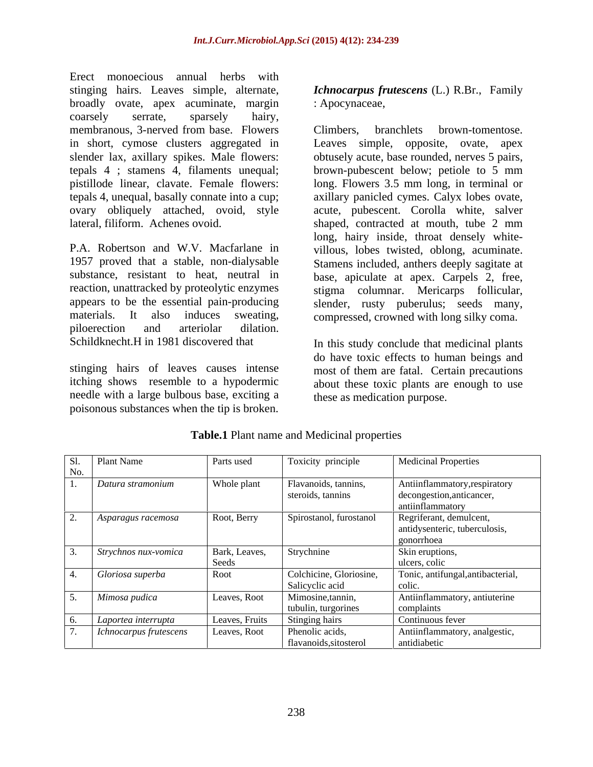Erect monoecious annual herbs with stinging hairs. Leaves simple, alternate, *Ichnocarpus frutescens* (L.) R.Br., Family broadly ovate, apex acuminate, margin coarsely serrate, sparsely hairy,

piloerection and arteriolar dilation.

needle with a large bulbous base, exciting a poisonous substances when the tip is broken.

: Apocynaceae,

membranous, 3-nerved from base. Flowers in short, cymose clusters aggregated in Leaves simple, opposite, ovate, apex slender lax, axillary spikes. Male flowers: obtusely acute, base rounded, nerves 5 pairs, tepals 4 ; stamens 4, filaments unequal; brown-pubescent below; petiole to 5 mm pistillode linear, clavate. Female flowers: long. Flowers 3.5 mm long, in terminal or tepals 4, unequal, basally connate into a cup; axillary panicled cymes. Calyx lobes ovate, ovary obliquely attached, ovoid, style acute, pubescent. Corolla white, salver lateral, filiform. Achenes ovoid. shaped, contracted at mouth, tube 2 mm P.A. Robertson and W.V. Macfarlane in villous, lobes twisted, oblong, acuminate. 1957 proved that a stable, non-dialysable Stamens included, anthers deeply sagitate at substance, resistant to heat, neutral in base, apiculate at apex. Carpels 2, free, reaction, unattracked by proteolytic enzymes stigma columnar. Mericarps follicular, appears to be the essential pain-producing slender, rusty puberulus; seeds many, materials. It also induces sweating, compressed, crowned with long silky coma. Climbers, branchlets brown-tomentose. long, hairy inside, throat densely white-

Schildknecht.H in 1981 discovered that The this study conclude that medicinal plants stinging hairs of leaves causes intense most of them are fatal. Certain precautions itching shows resemble to a hypodermic about these toxic plants are enough to use do have toxic effects to human beings and these as medication purpose.

| Sl. | Plant Name             | Parts used             | Toxicity principle                         | <b>Medicinal Properties</b>                                                    |
|-----|------------------------|------------------------|--------------------------------------------|--------------------------------------------------------------------------------|
| No. |                        |                        |                                            |                                                                                |
|     | Datura stramonium      | Whole plant            | Flavanoids, tannins,<br>steroids, tannins  | Antiinflammatory, respiratory<br>decongestion, anticancer,<br>antiinflammatory |
|     | Asparagus racemosa     | Root, Berry            | Spirostanol, furostanol                    | Regriferant, demulcent,<br>antidysenteric, tuberculosis,<br>gonorrhoea         |
|     | Strychnos nux-vomica   | Bark, Leaves,<br>Seeds | Strychnine                                 | Skin eruptions,<br>ulcers, colic                                               |
|     | Gloriosa superba       | Root                   | Colchicine, Gloriosine,<br>Salicyclic acid | Tonic, antifungal, antibacterial,<br>colic                                     |
|     | Mimosa pudica          | Leaves, Root           | Mimosine, tannin,<br>tubulin, turgorines   | Antiinflammatory, antiuterine<br>complaints                                    |
|     | Laportea interrupta    | Leaves, Fruits         | Stinging hairs                             | Continuous fever                                                               |
|     | Ichnocarpus frutescens | Leaves, Root           | Phenolic acids,<br>flavanoids, sitosterol  | Antiinflammatory, analgestic,<br>antidiabetic                                  |

**Table.1** Plant name and Medicinal properties